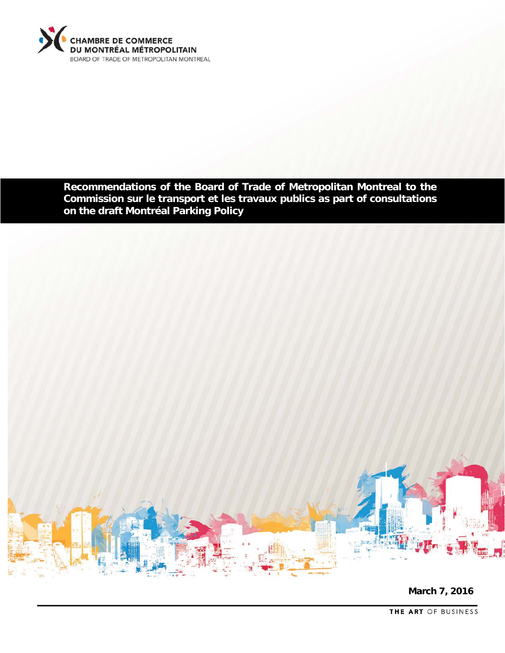

**Recommendations of the Board of Trade of Metropolitan Montreal to the Commission sur le transport et les travaux publics as part of consultations on the draft Montréal Parking Policy**



 **March 7, 2016**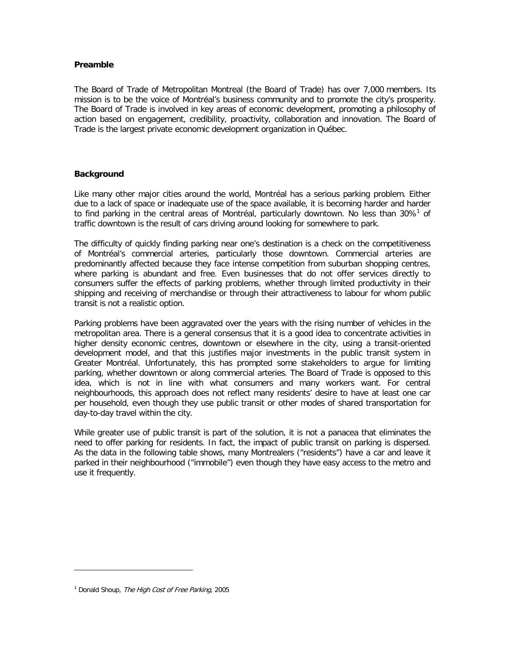### **Preamble**

The Board of Trade of Metropolitan Montreal (the Board of Trade) has over 7,000 members. Its mission is to be the voice of Montréal's business community and to promote the city's prosperity. The Board of Trade is involved in key areas of economic development, promoting a philosophy of action based on engagement, credibility, proactivity, collaboration and innovation. The Board of Trade is the largest private economic development organization in Québec.

### **Background**

Like many other major cities around the world, Montréal has a serious parking problem. Either due to a lack of space or inadequate use of the space available, it is becoming harder and harder to find parking in the central areas of Montréal, particularly downtown. No less than  $30\%$ <sup>1</sup> of traffic downtown is the result of cars driving around looking for somewhere to park.

The difficulty of quickly finding parking near one's destination is a check on the competitiveness of Montréal's commercial arteries, particularly those downtown. Commercial arteries are predominantly affected because they face intense competition from suburban shopping centres, where parking is abundant and free. Even businesses that do not offer services directly to consumers suffer the effects of parking problems, whether through limited productivity in their shipping and receiving of merchandise or through their attractiveness to labour for whom public transit is not a realistic option.

Parking problems have been aggravated over the years with the rising number of vehicles in the metropolitan area. There is a general consensus that it is a good idea to concentrate activities in higher density economic centres, downtown or elsewhere in the city, using a transit-oriented development model, and that this justifies major investments in the public transit system in Greater Montréal. Unfortunately, this has prompted some stakeholders to argue for limiting parking, whether downtown or along commercial arteries. The Board of Trade is opposed to this idea, which is not in line with what consumers and many workers want. For central neighbourhoods, this approach does not reflect many residents' desire to have at least one car per household, even though they use public transit or other modes of shared transportation for day-to-day travel within the city.

While greater use of public transit is part of the solution, it is not a panacea that eliminates the need to offer parking for residents. In fact, the impact of public transit on parking is dispersed. As the data in the following table shows, many Montrealers ("residents") have a car and leave it parked in their neighbourhood ("immobile") even though they have easy access to the metro and use it frequently.

j

<sup>&</sup>lt;sup>1</sup> Donald Shoup, The High Cost of Free Parking, 2005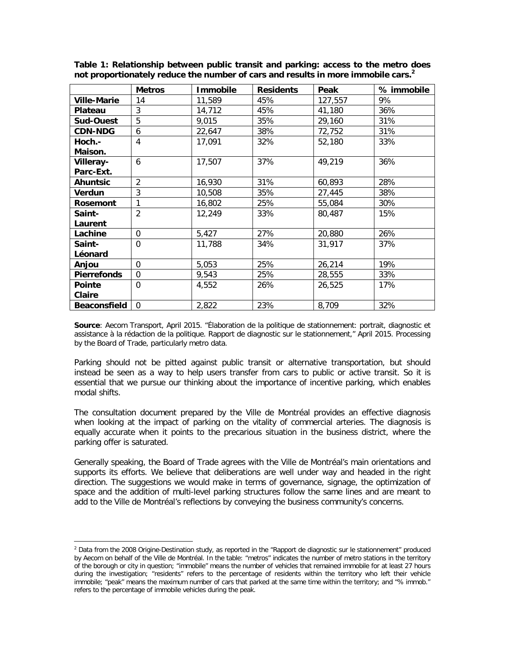|                     | <b>Metros</b>  | <b>Immobile</b> | <b>Residents</b> | Peak    | % immobile |
|---------------------|----------------|-----------------|------------------|---------|------------|
| <b>Ville-Marie</b>  | 14             | 11,589          | 45%              | 127,557 | 9%         |
| <b>Plateau</b>      | 3              | 14,712          | 45%              | 41,180  | 36%        |
| <b>Sud-Ouest</b>    | 5              | 9,015           | 35%              | 29,160  | 31%        |
| <b>CDN-NDG</b>      | 6              | 22,647          | 38%              | 72,752  | 31%        |
| Hoch.-              | $\overline{4}$ | 17,091          | 32%              | 52,180  | 33%        |
| Maison.             |                |                 |                  |         |            |
| Villeray-           | 6              | 17,507          | 37%              | 49,219  | 36%        |
| Parc-Ext.           |                |                 |                  |         |            |
| <b>Ahuntsic</b>     | $\overline{2}$ | 16,930          | 31%              | 60,893  | 28%        |
| Verdun              | 3              | 10,508          | 35%              | 27,445  | 38%        |
| <b>Rosemont</b>     | 1              | 16,802          | 25%              | 55,084  | 30%        |
| Saint-              | $\overline{2}$ | 12,249          | 33%              | 80,487  | 15%        |
| Laurent             |                |                 |                  |         |            |
| Lachine             | $\Omega$       | 5,427           | 27%              | 20,880  | 26%        |
| Saint-              | $\Omega$       | 11,788          | 34%              | 31,917  | 37%        |
| Léonard             |                |                 |                  |         |            |
| Anjou               | $\Omega$       | 5,053           | 25%              | 26,214  | 19%        |
| <b>Pierrefonds</b>  | $\Omega$       | 9,543           | 25%              | 28,555  | 33%        |
| <b>Pointe</b>       | $\Omega$       | 4,552           | 26%              | 26,525  | 17%        |
| Claire              |                |                 |                  |         |            |
| <b>Beaconsfield</b> | $\Omega$       | 2,822           | 23%              | 8,709   | 32%        |

**Table 1: Relationship between public transit and parking: access to the metro does not proportionately reduce the number of cars and results in more immobile cars.<sup>2</sup>**

**Source**: Aecom Transport, April 2015. "Élaboration de la politique de stationnement: portrait, diagnostic et assistance à la rédaction de la politique. Rapport de diagnostic sur le stationnement," April 2015. Processing by the Board of Trade, particularly metro data.

Parking should not be pitted against public transit or alternative transportation, but should instead be seen as a way to help users transfer from cars to public or active transit. So it is essential that we pursue our thinking about the importance of incentive parking, which enables modal shifts.

The consultation document prepared by the Ville de Montréal provides an effective diagnosis when looking at the impact of parking on the vitality of commercial arteries. The diagnosis is equally accurate when it points to the precarious situation in the business district, where the parking offer is saturated.

Generally speaking, the Board of Trade agrees with the Ville de Montréal's main orientations and supports its efforts. We believe that deliberations are well under way and headed in the right direction. The suggestions we would make in terms of governance, signage, the optimization of space and the addition of multi-level parking structures follow the same lines and are meant to add to the Ville de Montréal's reflections by conveying the business community's concerns.

 $<sup>2</sup>$  Data from the 2008 Origine-Destination study, as reported in the "Rapport de diagnostic sur le stationnement" produced</sup> by Aecom on behalf of the Ville de Montréal. In the table: "metros" indicates the number of metro stations in the territory of the borough or city in question; "immobile" means the number of vehicles that remained immobile for at least 27 hours during the investigation; "residents" refers to the percentage of residents within the territory who left their vehicle immobile; "peak" means the maximum number of cars that parked at the same time within the territory; and "% immob." refers to the percentage of immobile vehicles during the peak.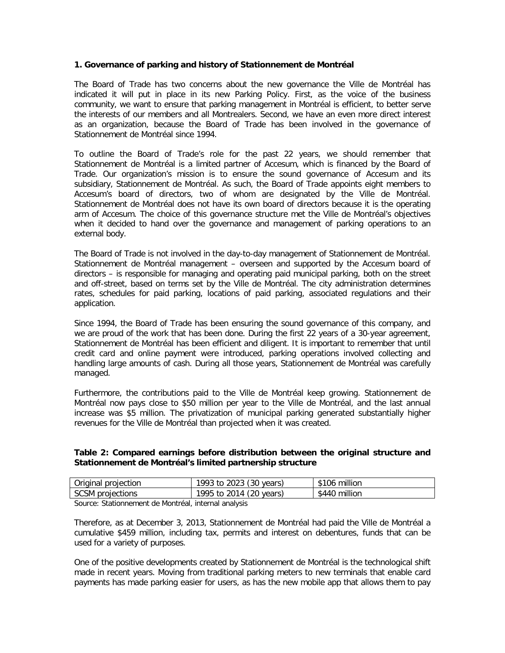## **1. Governance of parking and history of Stationnement de Montréal**

The Board of Trade has two concerns about the new governance the Ville de Montréal has indicated it will put in place in its new Parking Policy. First, as the voice of the business community, we want to ensure that parking management in Montréal is efficient, to better serve the interests of our members and all Montrealers. Second, we have an even more direct interest as an organization, because the Board of Trade has been involved in the governance of Stationnement de Montréal since 1994.

To outline the Board of Trade's role for the past 22 years, we should remember that Stationnement de Montréal is a limited partner of Accesum, which is financed by the Board of Trade. Our organization's mission is to ensure the sound governance of Accesum and its subsidiary, Stationnement de Montréal. As such, the Board of Trade appoints eight members to Accesum's board of directors, two of whom are designated by the Ville de Montréal. Stationnement de Montréal does not have its own board of directors because it is the operating arm of Accesum. The choice of this governance structure met the Ville de Montréal's objectives when it decided to hand over the governance and management of parking operations to an external body.

The Board of Trade is not involved in the day-to-day management of Stationnement de Montréal. Stationnement de Montréal management – overseen and supported by the Accesum board of directors – is responsible for managing and operating paid municipal parking, both on the street and off-street, based on terms set by the Ville de Montréal. The city administration determines rates, schedules for paid parking, locations of paid parking, associated regulations and their application.

Since 1994, the Board of Trade has been ensuring the sound governance of this company, and we are proud of the work that has been done. During the first 22 years of a 30-year agreement, Stationnement de Montréal has been efficient and diligent. It is important to remember that until credit card and online payment were introduced, parking operations involved collecting and handling large amounts of cash. During all those years, Stationnement de Montréal was carefully managed.

Furthermore, the contributions paid to the Ville de Montréal keep growing. Stationnement de Montréal now pays close to \$50 million per year to the Ville de Montréal, and the last annual increase was \$5 million. The privatization of municipal parking generated substantially higher revenues for the Ville de Montréal than projected when it was created.

## **Table 2: Compared earnings before distribution between the original structure and Stationnement de Montréal's limited partnership structure**

| Original projection | 1993 to 2023 (30 years) | \$106 million |  |  |
|---------------------|-------------------------|---------------|--|--|
| SCSM projections    | 1995 to 2014 (20 years) | \$440 million |  |  |
| $\sim$              |                         |               |  |  |

Source: Stationnement de Montréal, internal analysis

Therefore, as at December 3, 2013, Stationnement de Montréal had paid the Ville de Montréal a cumulative \$459 million, including tax, permits and interest on debentures, funds that can be used for a variety of purposes.

One of the positive developments created by Stationnement de Montréal is the technological shift made in recent years. Moving from traditional parking meters to new terminals that enable card payments has made parking easier for users, as has the new mobile app that allows them to pay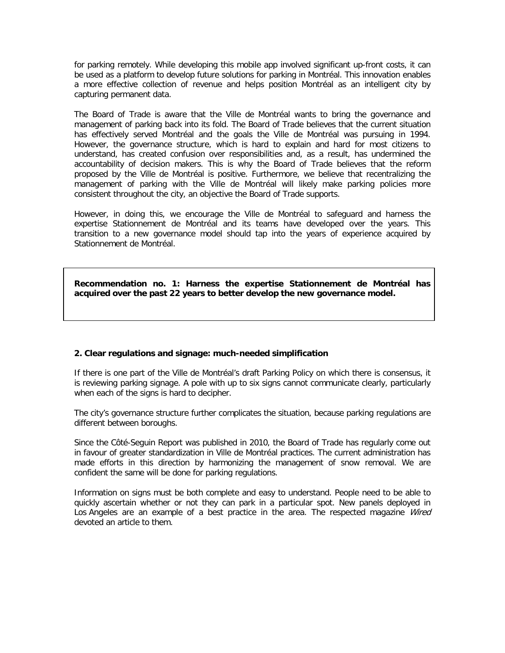for parking remotely. While developing this mobile app involved significant up-front costs, it can be used as a platform to develop future solutions for parking in Montréal. This innovation enables a more effective collection of revenue and helps position Montréal as an intelligent city by capturing permanent data.

The Board of Trade is aware that the Ville de Montréal wants to bring the governance and management of parking back into its fold. The Board of Trade believes that the current situation has effectively served Montréal and the goals the Ville de Montréal was pursuing in 1994. However, the governance structure, which is hard to explain and hard for most citizens to understand, has created confusion over responsibilities and, as a result, has undermined the accountability of decision makers. This is why the Board of Trade believes that the reform proposed by the Ville de Montréal is positive. Furthermore, we believe that recentralizing the management of parking with the Ville de Montréal will likely make parking policies more consistent throughout the city, an objective the Board of Trade supports.

However, in doing this, we encourage the Ville de Montréal to safeguard and harness the expertise Stationnement de Montréal and its teams have developed over the years. This transition to a new governance model should tap into the years of experience acquired by Stationnement de Montréal.

**Recommendation no. 1: Harness the expertise Stationnement de Montréal has acquired over the past 22 years to better develop the new governance model.** 

### **2. Clear regulations and signage: much-needed simplification**

If there is one part of the Ville de Montréal's draft Parking Policy on which there is consensus, it is reviewing parking signage. A pole with up to six signs cannot communicate clearly, particularly when each of the signs is hard to decipher.

The city's governance structure further complicates the situation, because parking regulations are different between boroughs.

Since the Côté-Seguin Report was published in 2010, the Board of Trade has regularly come out in favour of greater standardization in Ville de Montréal practices. The current administration has made efforts in this direction by harmonizing the management of snow removal. We are confident the same will be done for parking regulations.

Information on signs must be both complete and easy to understand. People need to be able to quickly ascertain whether or not they can park in a particular spot. New panels deployed in Los Angeles are an example of a best practice in the area. The respected magazine Wired devoted an article to them.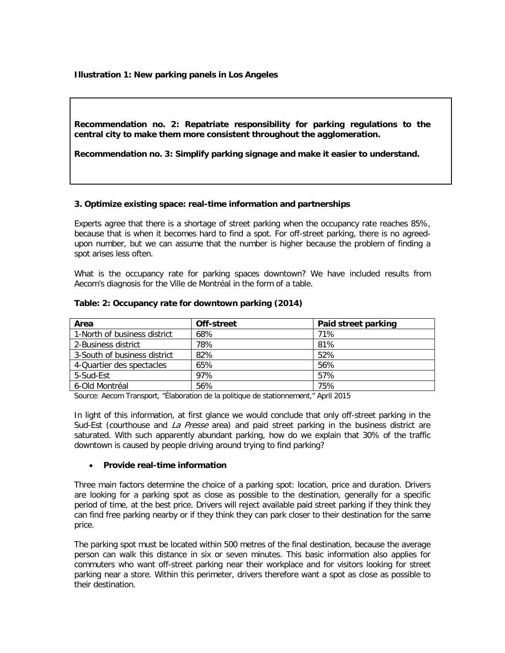## **Illustration 1: New parking panels in Los Angeles**

**Recommendation no. 2: Repatriate responsibility for parking regulations to the central city to make them more consistent throughout the agglomeration.**

**Recommendation no. 3: Simplify parking signage and make it easier to understand.**

## **3. Optimize existing space: real-time information and partnerships**

Experts agree that there is a shortage of street parking when the occupancy rate reaches 85%, because that is when it becomes hard to find a spot. For off-street parking, there is no agreedupon number, but we can assume that the number is higher because the problem of finding a spot arises less often.

What is the occupancy rate for parking spaces downtown? We have included results from Aecom's diagnosis for the Ville de Montréal in the form of a table.

| Area                         | Off-street | Paid street parking |
|------------------------------|------------|---------------------|
| 1-North of business district | 68%        | 71%                 |
| 2-Business district          | 78%        | 81%                 |
| 3-South of business district | 82%        | 52%                 |
| 4-Quartier des spectacles    | 65%        | 56%                 |
| 5-Sud-Est                    | 97%        | 57%                 |
| 6-Old Montréal               | 56%        | 75%                 |

### **Table: 2: Occupancy rate for downtown parking (2014)**

Source: Aecom Transport, "Élaboration de la politique de stationnement," April 2015

In light of this information, at first glance we would conclude that only off-street parking in the Sud-Est (courthouse and *La Presse* area) and paid street parking in the business district are saturated. With such apparently abundant parking, how do we explain that 30% of the traffic downtown is caused by people driving around trying to find parking?

### • **Provide real-time information**

Three main factors determine the choice of a parking spot: location, price and duration. Drivers are looking for a parking spot as close as possible to the destination, generally for a specific period of time, at the best price. Drivers will reject available paid street parking if they think they can find free parking nearby or if they think they can park closer to their destination for the same price.

The parking spot must be located within 500 metres of the final destination, because the average person can walk this distance in six or seven minutes. This basic information also applies for commuters who want off-street parking near their workplace and for visitors looking for street parking near a store. Within this perimeter, drivers therefore want a spot as close as possible to their destination.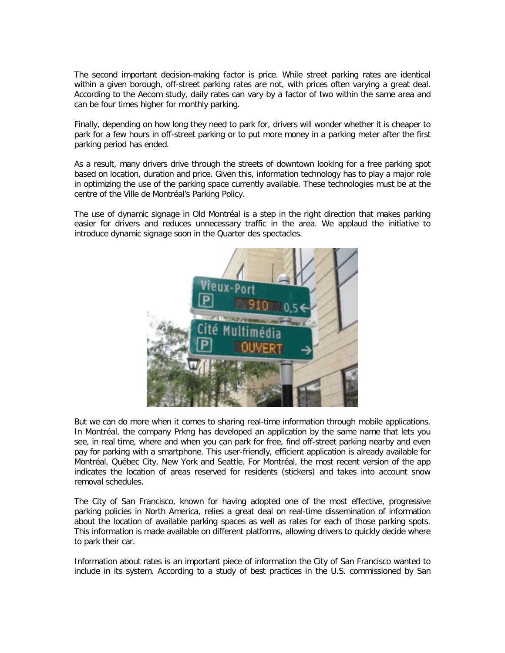The second important decision-making factor is price. While street parking rates are identical within a given borough, off-street parking rates are not, with prices often varying a great deal. According to the Aecom study, daily rates can vary by a factor of two within the same area and can be four times higher for monthly parking.

Finally, depending on how long they need to park for, drivers will wonder whether it is cheaper to park for a few hours in off-street parking or to put more money in a parking meter after the first parking period has ended.

As a result, many drivers drive through the streets of downtown looking for a free parking spot based on location, duration and price. Given this, information technology has to play a major role in optimizing the use of the parking space currently available. These technologies must be at the centre of the Ville de Montréal's Parking Policy.

The use of dynamic signage in Old Montréal is a step in the right direction that makes parking easier for drivers and reduces unnecessary traffic in the area. We applaud the initiative to introduce dynamic signage soon in the Quarter des spectacles.



But we can do more when it comes to sharing real-time information through mobile applications. In Montréal, the company Prkng has developed an application by the same name that lets you see, in real time, where and when you can park for free, find off-street parking nearby and even pay for parking with a smartphone. This user-friendly, efficient application is already available for Montréal, Québec City, New York and Seattle. For Montréal, the most recent version of the app indicates the location of areas reserved for residents (stickers) and takes into account snow removal schedules.

The City of San Francisco, known for having adopted one of the most effective, progressive parking policies in North America, relies a great deal on real-time dissemination of information about the location of available parking spaces as well as rates for each of those parking spots. This information is made available on different platforms, allowing drivers to quickly decide where to park their car.

Information about rates is an important piece of information the City of San Francisco wanted to include in its system. According to a study of best practices in the U.S. commissioned by San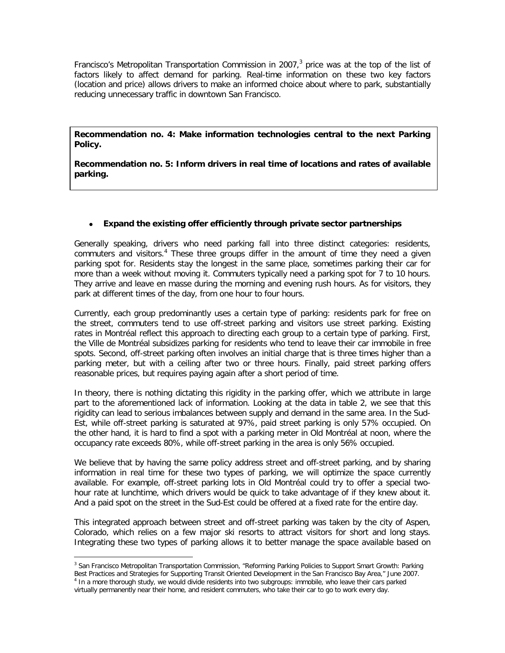Francisco's Metropolitan Transportation Commission in 2007, $3$  price was at the top of the list of factors likely to affect demand for parking. Real-time information on these two key factors (location and price) allows drivers to make an informed choice about where to park, substantially reducing unnecessary traffic in downtown San Francisco.

**Recommendation no. 4: Make information technologies central to the next Parking Policy.**

**Recommendation no. 5: Inform drivers in real time of locations and rates of available parking.**

# • **Expand the existing offer efficiently through private sector partnerships**

Generally speaking, drivers who need parking fall into three distinct categories: residents, commuters and visitors.<sup>4</sup> These three groups differ in the amount of time they need a given parking spot for. Residents stay the longest in the same place, sometimes parking their car for more than a week without moving it. Commuters typically need a parking spot for 7 to 10 hours. They arrive and leave en masse during the morning and evening rush hours. As for visitors, they park at different times of the day, from one hour to four hours.

Currently, each group predominantly uses a certain type of parking: residents park for free on the street, commuters tend to use off-street parking and visitors use street parking. Existing rates in Montréal reflect this approach to directing each group to a certain type of parking. First, the Ville de Montréal subsidizes parking for residents who tend to leave their car immobile in free spots. Second, off-street parking often involves an initial charge that is three times higher than a parking meter, but with a ceiling after two or three hours. Finally, paid street parking offers reasonable prices, but requires paying again after a short period of time.

In theory, there is nothing dictating this rigidity in the parking offer, which we attribute in large part to the aforementioned lack of information. Looking at the data in table 2, we see that this rigidity can lead to serious imbalances between supply and demand in the same area. In the Sud-Est, while off-street parking is saturated at 97%, paid street parking is only 57% occupied. On the other hand, it is hard to find a spot with a parking meter in Old Montréal at noon, where the occupancy rate exceeds 80%, while off-street parking in the area is only 56% occupied.

We believe that by having the same policy address street and off-street parking, and by sharing information in real time for these two types of parking, we will optimize the space currently available. For example, off-street parking lots in Old Montréal could try to offer a special twohour rate at lunchtime, which drivers would be quick to take advantage of if they knew about it. And a paid spot on the street in the Sud-Est could be offered at a fixed rate for the entire day.

This integrated approach between street and off-street parking was taken by the city of Aspen, Colorado, which relies on a few major ski resorts to attract visitors for short and long stays. Integrating these two types of parking allows it to better manage the space available based on

<sup>&</sup>lt;sup>3</sup> San Francisco Metropolitan Transportation Commission, "Reforming Parking Policies to Support Smart Growth: Parking Best Practices and Strategies for Supporting Transit Oriented Development in the San Francisco Bay Area," June 2007. <sup>4</sup> In a more thorough study, we would divide residents into two subgroups: immobile, who leave their cars parked virtually permanently near their home, and resident commuters, who take their car to go to work every day.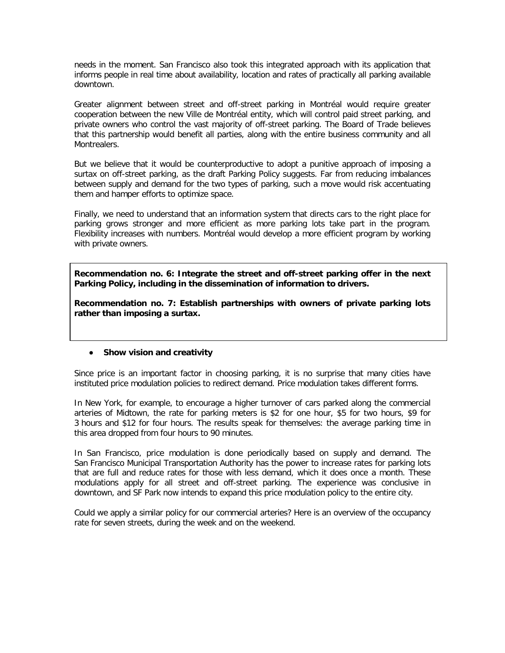needs in the moment. San Francisco also took this integrated approach with its application that informs people in real time about availability, location and rates of practically all parking available downtown.

Greater alignment between street and off-street parking in Montréal would require greater cooperation between the new Ville de Montréal entity, which will control paid street parking, and private owners who control the vast majority of off-street parking. The Board of Trade believes that this partnership would benefit all parties, along with the entire business community and all Montrealers.

But we believe that it would be counterproductive to adopt a punitive approach of imposing a surtax on off-street parking, as the draft Parking Policy suggests. Far from reducing imbalances between supply and demand for the two types of parking, such a move would risk accentuating them and hamper efforts to optimize space.

Finally, we need to understand that an information system that directs cars to the right place for parking grows stronger and more efficient as more parking lots take part in the program. Flexibility increases with numbers. Montréal would develop a more efficient program by working with private owners.

**Recommendation no. 6: Integrate the street and off-street parking offer in the next Parking Policy, including in the dissemination of information to drivers.**

**Recommendation no. 7: Establish partnerships with owners of private parking lots rather than imposing a surtax.**

### • **Show vision and creativity**

Since price is an important factor in choosing parking, it is no surprise that many cities have instituted price modulation policies to redirect demand. Price modulation takes different forms.

In New York, for example, to encourage a higher turnover of cars parked along the commercial arteries of Midtown, the rate for parking meters is \$2 for one hour, \$5 for two hours, \$9 for 3 hours and \$12 for four hours. The results speak for themselves: the average parking time in this area dropped from four hours to 90 minutes.

In San Francisco, price modulation is done periodically based on supply and demand. The San Francisco Municipal Transportation Authority has the power to increase rates for parking lots that are full and reduce rates for those with less demand, which it does once a month. These modulations apply for all street and off-street parking. The experience was conclusive in downtown, and SF Park now intends to expand this price modulation policy to the entire city.

Could we apply a similar policy for our commercial arteries? Here is an overview of the occupancy rate for seven streets, during the week and on the weekend.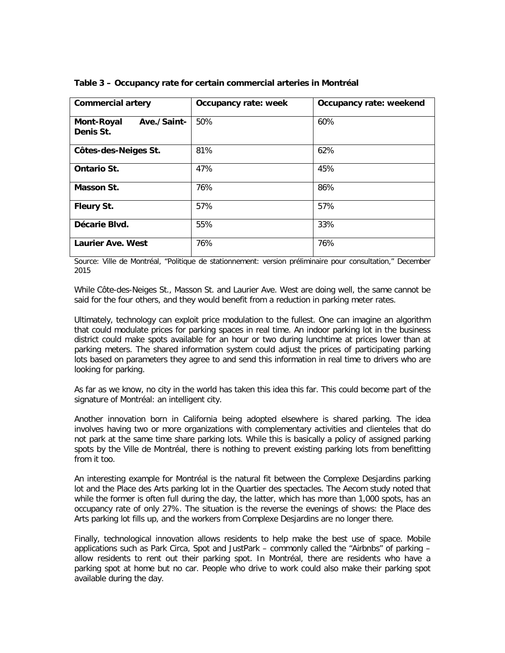| <b>Commercial artery</b>                      | Occupancy rate: week | Occupancy rate: weekend |
|-----------------------------------------------|----------------------|-------------------------|
| Ave./Saint-<br><b>Mont-Royal</b><br>Denis St. | 50%                  | 60%                     |
| Côtes-des-Neiges St.                          | 81%                  | 62%                     |
| <b>Ontario St.</b>                            | 47%                  | 45%                     |
| Masson St.                                    | 76%                  | 86%                     |
| <b>Fleury St.</b>                             | 57%                  | 57%                     |
| Décarie Blvd.                                 | 55%                  | 33%                     |
| <b>Laurier Ave. West</b>                      | 76%                  | 76%                     |

**Table 3 – Occupancy rate for certain commercial arteries in Montréal**

Source: Ville de Montréal, "Politique de stationnement: version préliminaire pour consultation," December 2015

While Côte-des-Neiges St., Masson St. and Laurier Ave. West are doing well, the same cannot be said for the four others, and they would benefit from a reduction in parking meter rates.

Ultimately, technology can exploit price modulation to the fullest. One can imagine an algorithm that could modulate prices for parking spaces in real time. An indoor parking lot in the business district could make spots available for an hour or two during lunchtime at prices lower than at parking meters. The shared information system could adjust the prices of participating parking lots based on parameters they agree to and send this information in real time to drivers who are looking for parking.

As far as we know, no city in the world has taken this idea this far. This could become part of the signature of Montréal: an intelligent city.

Another innovation born in California being adopted elsewhere is shared parking. The idea involves having two or more organizations with complementary activities and clienteles that do not park at the same time share parking lots. While this is basically a policy of assigned parking spots by the Ville de Montréal, there is nothing to prevent existing parking lots from benefitting from it too.

An interesting example for Montréal is the natural fit between the Complexe Desjardins parking lot and the Place des Arts parking lot in the Quartier des spectacles. The Aecom study noted that while the former is often full during the day, the latter, which has more than 1,000 spots, has an occupancy rate of only 27%. The situation is the reverse the evenings of shows: the Place des Arts parking lot fills up, and the workers from Complexe Desjardins are no longer there.

Finally, technological innovation allows residents to help make the best use of space. Mobile applications such as Park Circa, Spot and JustPark – commonly called the "Airbnbs" of parking – allow residents to rent out their parking spot. In Montréal, there are residents who have a parking spot at home but no car. People who drive to work could also make their parking spot available during the day.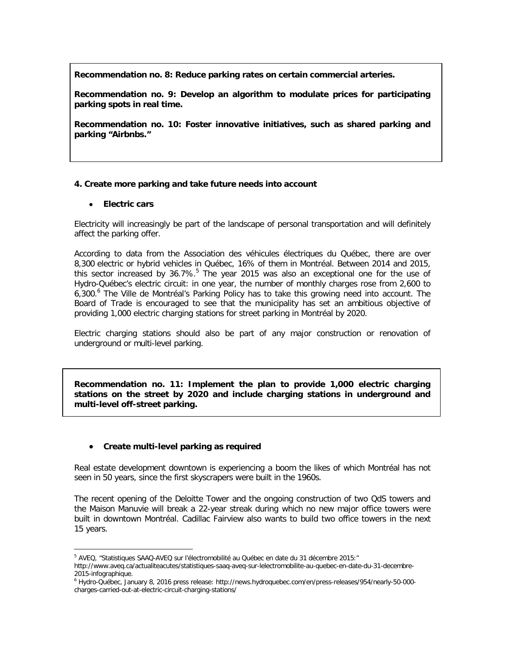**Recommendation no. 8: Reduce parking rates on certain commercial arteries.**

**Recommendation no. 9: Develop an algorithm to modulate prices for participating parking spots in real time.**

**Recommendation no. 10: Foster innovative initiatives, such as shared parking and parking "Airbnbs."**

### **4. Create more parking and take future needs into account**

## • **Electric cars**

Electricity will increasingly be part of the landscape of personal transportation and will definitely affect the parking offer.

According to data from the Association des véhicules électriques du Québec, there are over 8,300 electric or hybrid vehicles in Québec, 16% of them in Montréal. Between 2014 and 2015, this sector increased by  $36.7\%$ .<sup>5</sup> The year 2015 was also an exceptional one for the use of Hydro-Québec's electric circuit: in one year, the number of monthly charges rose from 2,600 to 6,300.<sup>6</sup> The Ville de Montréal's Parking Policy has to take this growing need into account. The Board of Trade is encouraged to see that the municipality has set an ambitious objective of providing 1,000 electric charging stations for street parking in Montréal by 2020.

Electric charging stations should also be part of any major construction or renovation of underground or multi-level parking.

**Recommendation no. 11: Implement the plan to provide 1,000 electric charging stations on the street by 2020 and include charging stations in underground and multi-level off-street parking.**

## • **Create multi-level parking as required**

Real estate development downtown is experiencing a boom the likes of which Montréal has not seen in 50 years, since the first skyscrapers were built in the 1960s.

The recent opening of the Deloitte Tower and the ongoing construction of two QdS towers and the Maison Manuvie will break a 22-year streak during which no new major office towers were built in downtown Montréal. Cadillac Fairview also wants to build two office towers in the next 15 years.

 <sup>5</sup> AVEQ, "Statistiques SAAQ-AVEQ sur l'électromobilité au Québec en date du 31 décembre 2015:"

http://www.aveq.ca/actualiteacutes/statistiques-saaq-aveq-sur-lelectromobilite-au-quebec-en-date-du-31-decembre-2015-infographique.<br><sup>6</sup> Hydro-Québec, January 8, 2016 press release: http://news.hydroquebec.com/en/press-releases/954/nearly-50-000-

charges-carried-out-at-electric-circuit-charging-stations/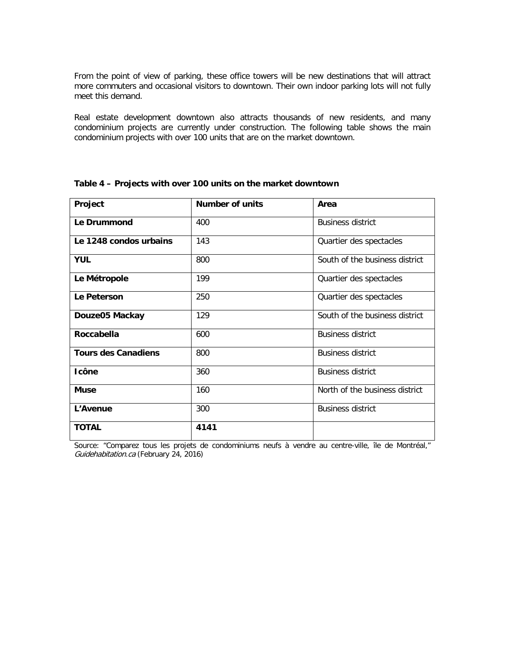From the point of view of parking, these office towers will be new destinations that will attract more commuters and occasional visitors to downtown. Their own indoor parking lots will not fully meet this demand.

Real estate development downtown also attracts thousands of new residents, and many condominium projects are currently under construction. The following table shows the main condominium projects with over 100 units that are on the market downtown.

| Project                    | <b>Number of units</b> | Area                           |
|----------------------------|------------------------|--------------------------------|
| Le Drummond                | 400                    | <b>Business district</b>       |
| Le 1248 condos urbains     | 143                    | Quartier des spectacles        |
| <b>YUL</b>                 | 800                    | South of the business district |
| Le Métropole               | 199                    | Quartier des spectacles        |
| Le Peterson                | 250                    | Quartier des spectacles        |
| Douze05 Mackay             | 129                    | South of the business district |
| Roccabella                 | 600                    | <b>Business district</b>       |
| <b>Tours des Canadiens</b> | 800                    | <b>Business district</b>       |
| <b>Icône</b>               | 360                    | <b>Business district</b>       |
| <b>Muse</b>                | 160                    | North of the business district |
| L'Avenue                   | 300                    | <b>Business district</b>       |
| <b>TOTAL</b>               | 4141                   |                                |

## **Table 4 – Projects with over 100 units on the market downtown**

Source: "Comparez tous les projets de condominiums neufs à vendre au centre-ville, île de Montréal," Guidehabitation.ca (February 24, 2016)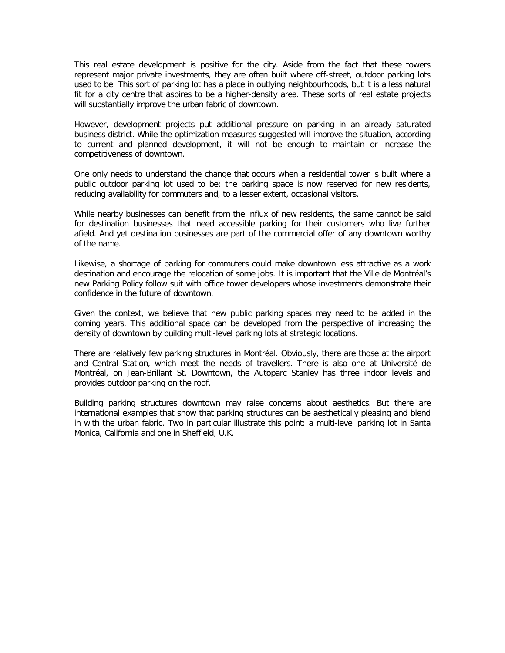This real estate development is positive for the city. Aside from the fact that these towers represent major private investments, they are often built where off-street, outdoor parking lots used to be. This sort of parking lot has a place in outlying neighbourhoods, but it is a less natural fit for a city centre that aspires to be a higher-density area. These sorts of real estate projects will substantially improve the urban fabric of downtown.

However, development projects put additional pressure on parking in an already saturated business district. While the optimization measures suggested will improve the situation, according to current and planned development, it will not be enough to maintain or increase the competitiveness of downtown.

One only needs to understand the change that occurs when a residential tower is built where a public outdoor parking lot used to be: the parking space is now reserved for new residents, reducing availability for commuters and, to a lesser extent, occasional visitors.

While nearby businesses can benefit from the influx of new residents, the same cannot be said for destination businesses that need accessible parking for their customers who live further afield. And yet destination businesses are part of the commercial offer of any downtown worthy of the name.

Likewise, a shortage of parking for commuters could make downtown less attractive as a work destination and encourage the relocation of some jobs. It is important that the Ville de Montréal's new Parking Policy follow suit with office tower developers whose investments demonstrate their confidence in the future of downtown.

Given the context, we believe that new public parking spaces may need to be added in the coming years. This additional space can be developed from the perspective of increasing the density of downtown by building multi-level parking lots at strategic locations.

There are relatively few parking structures in Montréal. Obviously, there are those at the airport and Central Station, which meet the needs of travellers. There is also one at Université de Montréal, on Jean-Brillant St. Downtown, the Autoparc Stanley has three indoor levels and provides outdoor parking on the roof.

Building parking structures downtown may raise concerns about aesthetics. But there are international examples that show that parking structures can be aesthetically pleasing and blend in with the urban fabric. Two in particular illustrate this point: a multi-level parking lot in Santa Monica, California and one in Sheffield, U.K.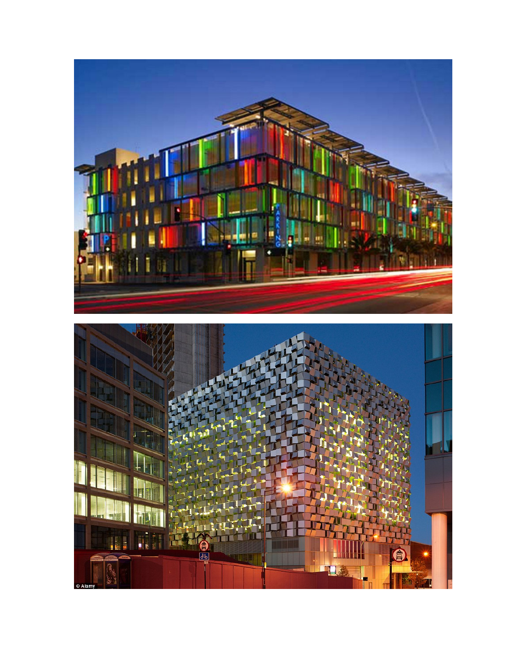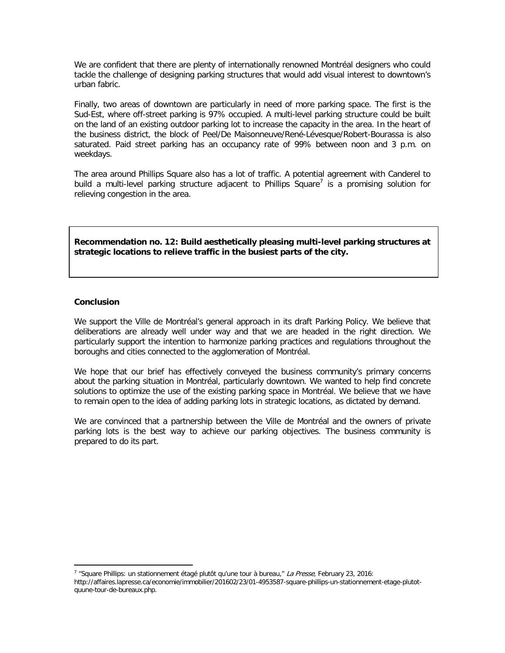We are confident that there are plenty of internationally renowned Montréal designers who could tackle the challenge of designing parking structures that would add visual interest to downtown's urban fabric.

Finally, two areas of downtown are particularly in need of more parking space. The first is the Sud-Est, where off-street parking is 97% occupied. A multi-level parking structure could be built on the land of an existing outdoor parking lot to increase the capacity in the area. In the heart of the business district, the block of Peel/De Maisonneuve/René-Lévesque/Robert-Bourassa is also saturated. Paid street parking has an occupancy rate of 99% between noon and 3 p.m. on weekdays.

The area around Phillips Square also has a lot of traffic. A potential agreement with Canderel to build a multi-level parking structure adjacent to Phillips Square<sup>7</sup> is a promising solution for relieving congestion in the area.

**Recommendation no. 12: Build aesthetically pleasing multi-level parking structures at strategic locations to relieve traffic in the busiest parts of the city.**

## **Conclusion**

We support the Ville de Montréal's general approach in its draft Parking Policy. We believe that deliberations are already well under way and that we are headed in the right direction. We particularly support the intention to harmonize parking practices and regulations throughout the boroughs and cities connected to the agglomeration of Montréal.

We hope that our brief has effectively conveyed the business community's primary concerns about the parking situation in Montréal, particularly downtown. We wanted to help find concrete solutions to optimize the use of the existing parking space in Montréal. We believe that we have to remain open to the idea of adding parking lots in strategic locations, as dictated by demand.

We are convinced that a partnership between the Ville de Montréal and the owners of private parking lots is the best way to achieve our parking objectives. The business community is prepared to do its part.

<sup>&</sup>lt;sup>7</sup> "Square Phillips: un stationnement étagé plutôt qu'une tour à bureau," La Presse, February 23, 2016: http://affaires.lapresse.ca/economie/immobilier/201602/23/01-4953587-square-phillips-un-stationnement-etage-plutotquune-tour-de-bureaux.php.